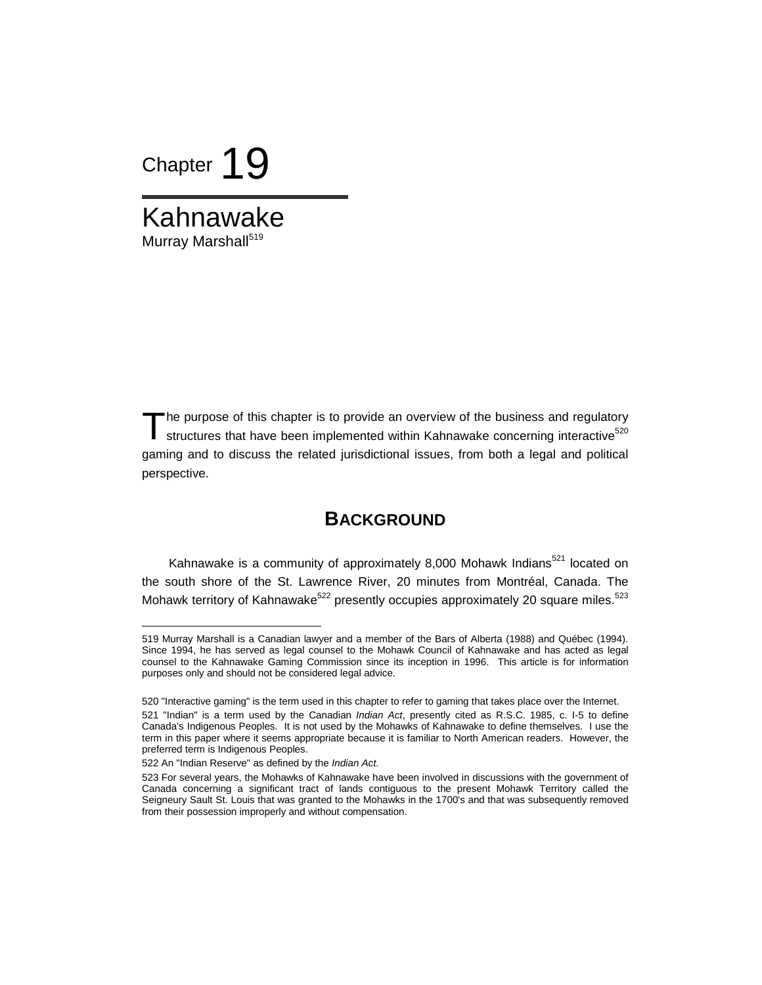

Kahnawake Murray Marshall<sup>519</sup>

The purpose of this chapter is to provide an overview of the business and regulatory<br>structures that have been implemented within Kahnawake concerning interactive<sup>520</sup> structures that have been implemented within Kahnawake concerning interactive<sup>520</sup> gaming and to discuss the related jurisdictional issues, from both a legal and political perspective.

## **BACKGROUND**

Kahnawake is a community of approximately 8,000 Mohawk Indians<sup>521</sup> located on the south shore of the St. Lawrence River, 20 minutes from Montréal, Canada. The Mohawk territory of Kahnawake<sup>522</sup> presently occupies approximately 20 square miles.<sup>523</sup>

<sup>519</sup> Murray Marshall is a Canadian lawyer and a member of the Bars of Alberta (1988) and Québec (1994). Since 1994, he has served as legal counsel to the Mohawk Council of Kahnawake and has acted as legal counsel to the Kahnawake Gaming Commission since its inception in 1996. This article is for information purposes only and should not be considered legal advice.

<sup>520 &</sup>quot;Interactive gaming" is the term used in this chapter to refer to gaming that takes place over the Internet. 521 "Indian" is a term used by the Canadian *Indian Act*, presently cited as R.S.C. 1985, c. I-5 to define Canada's Indigenous Peoples. It is not used by the Mohawks of Kahnawake to define themselves. I use the term in this paper where it seems appropriate because it is familiar to North American readers. However, the preferred term is Indigenous Peoples.

<sup>522</sup> An "Indian Reserve" as defined by the *Indian Act*.

<sup>523</sup> For several years, the Mohawks of Kahnawake have been involved in discussions with the government of Canada concerning a significant tract of lands contiguous to the present Mohawk Territory called the Seigneury Sault St. Louis that was granted to the Mohawks in the 1700's and that was subsequently removed from their possession improperly and without compensation.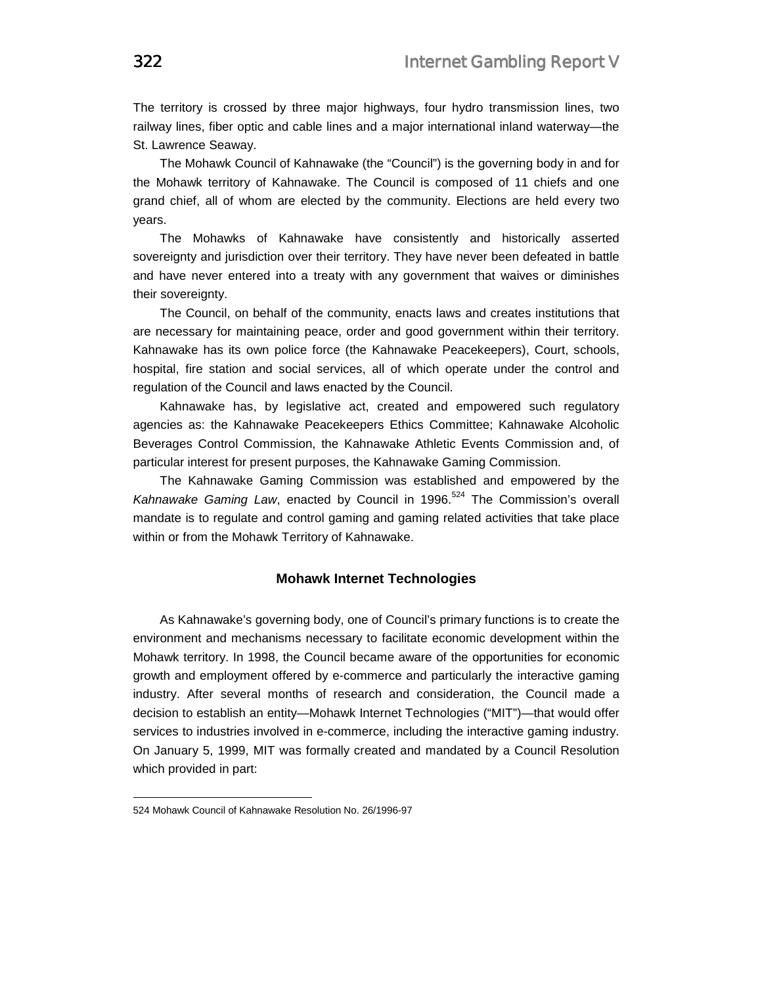The territory is crossed by three major highways, four hydro transmission lines, two railway lines, fiber optic and cable lines and a major international inland waterway—the St. Lawrence Seaway.

The Mohawk Council of Kahnawake (the "Council") is the governing body in and for the Mohawk territory of Kahnawake. The Council is composed of 11 chiefs and one grand chief, all of whom are elected by the community. Elections are held every two years.

The Mohawks of Kahnawake have consistently and historically asserted sovereignty and jurisdiction over their territory. They have never been defeated in battle and have never entered into a treaty with any government that waives or diminishes their sovereignty.

The Council, on behalf of the community, enacts laws and creates institutions that are necessary for maintaining peace, order and good government within their territory. Kahnawake has its own police force (the Kahnawake Peacekeepers), Court, schools, hospital, fire station and social services, all of which operate under the control and regulation of the Council and laws enacted by the Council.

Kahnawake has, by legislative act, created and empowered such regulatory agencies as: the Kahnawake Peacekeepers Ethics Committee; Kahnawake Alcoholic Beverages Control Commission, the Kahnawake Athletic Events Commission and, of particular interest for present purposes, the Kahnawake Gaming Commission.

The Kahnawake Gaming Commission was established and empowered by the *Kahnawake Gaming Law*, enacted by Council in 1996.<sup>524</sup> The Commission's overall mandate is to regulate and control gaming and gaming related activities that take place within or from the Mohawk Territory of Kahnawake.

### **Mohawk Internet Technologies**

As Kahnawake's governing body, one of Council's primary functions is to create the environment and mechanisms necessary to facilitate economic development within the Mohawk territory. In 1998, the Council became aware of the opportunities for economic growth and employment offered by e-commerce and particularly the interactive gaming industry. After several months of research and consideration, the Council made a decision to establish an entity—Mohawk Internet Technologies ("MIT")—that would offer services to industries involved in e-commerce, including the interactive gaming industry. On January 5, 1999, MIT was formally created and mandated by a Council Resolution which provided in part:

<sup>524</sup> Mohawk Council of Kahnawake Resolution No. 26/1996-97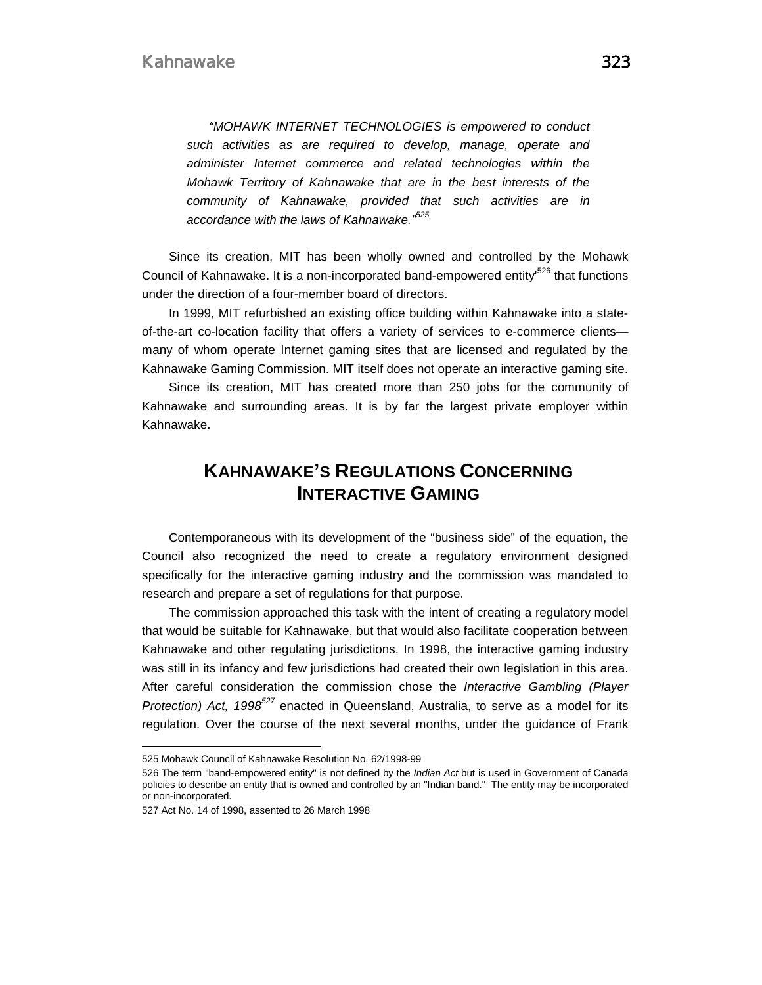*"MOHAWK INTERNET TECHNOLOGIES is empowered to conduct such activities as are required to develop, manage, operate and administer Internet commerce and related technologies within the Mohawk Territory of Kahnawake that are in the best interests of the community of Kahnawake, provided that such activities are in accordance with the laws of Kahnawake."<sup>525</sup>*

Since its creation, MIT has been wholly owned and controlled by the Mohawk Council of Kahnawake. It is a non-incorporated band-empowered entity<sup>526</sup> that functions under the direction of a four-member board of directors.

In 1999, MIT refurbished an existing office building within Kahnawake into a stateof-the-art co-location facility that offers a variety of services to e-commerce clients many of whom operate Internet gaming sites that are licensed and regulated by the Kahnawake Gaming Commission. MIT itself does not operate an interactive gaming site.

Since its creation, MIT has created more than 250 jobs for the community of Kahnawake and surrounding areas. It is by far the largest private employer within Kahnawake.

# **KAHNAWAKE'S REGULATIONS CONCERNING INTERACTIVE GAMING**

Contemporaneous with its development of the "business side" of the equation, the Council also recognized the need to create a regulatory environment designed specifically for the interactive gaming industry and the commission was mandated to research and prepare a set of regulations for that purpose.

The commission approached this task with the intent of creating a regulatory model that would be suitable for Kahnawake, but that would also facilitate cooperation between Kahnawake and other regulating jurisdictions. In 1998, the interactive gaming industry was still in its infancy and few jurisdictions had created their own legislation in this area. After careful consideration the commission chose the *Interactive Gambling (Player Protection) Act, 1998<sup>527</sup>* enacted in Queensland, Australia, to serve as a model for its regulation. Over the course of the next several months, under the guidance of Frank

<sup>525</sup> Mohawk Council of Kahnawake Resolution No. 62/1998-99

<sup>526</sup> The term "band-empowered entity" is not defined by the *Indian Act* but is used in Government of Canada policies to describe an entity that is owned and controlled by an "Indian band." The entity may be incorporated or non-incorporated.

<sup>527</sup> Act No. 14 of 1998, assented to 26 March 1998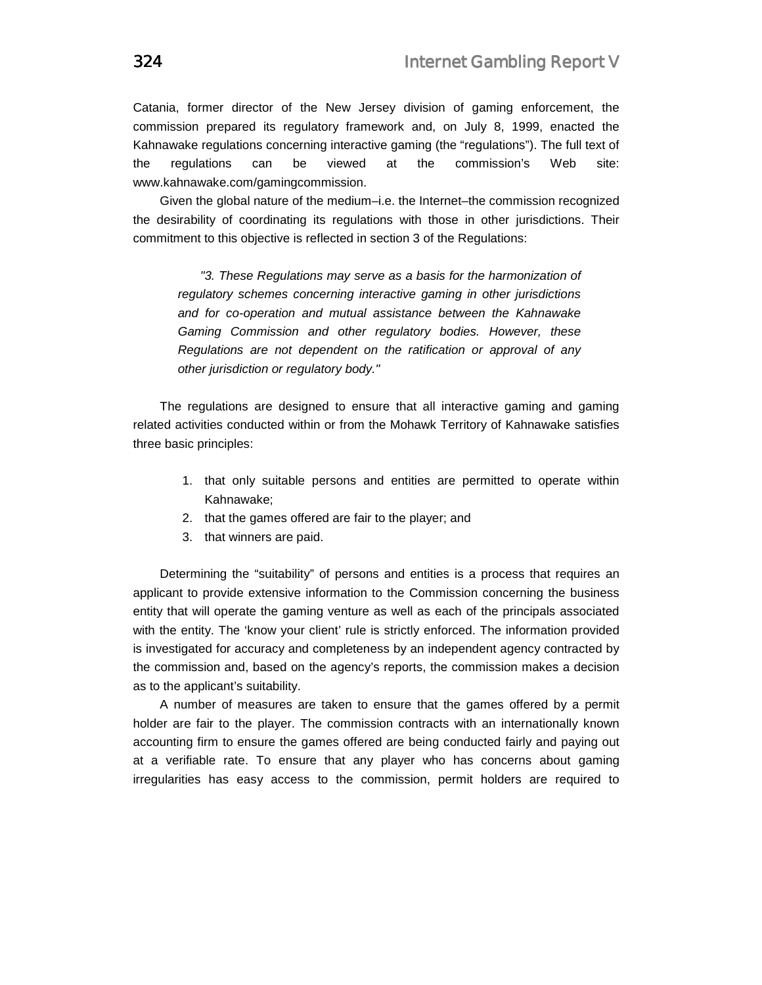Catania, former director of the New Jersey division of gaming enforcement, the commission prepared its regulatory framework and, on July 8, 1999, enacted the Kahnawake regulations concerning interactive gaming (the "regulations"). The full text of the regulations can be viewed at the commission's Web site: www.kahnawake.com/gamingcommission.

Given the global nature of the medium–i.e. the Internet–the commission recognized the desirability of coordinating its regulations with those in other jurisdictions. Their commitment to this objective is reflected in section 3 of the Regulations:

*"3. These Regulations may serve as a basis for the harmonization of regulatory schemes concerning interactive gaming in other jurisdictions and for co-operation and mutual assistance between the Kahnawake Gaming Commission and other regulatory bodies. However, these Regulations are not dependent on the ratification or approval of any other jurisdiction or regulatory body."* 

The regulations are designed to ensure that all interactive gaming and gaming related activities conducted within or from the Mohawk Territory of Kahnawake satisfies three basic principles:

- 1. that only suitable persons and entities are permitted to operate within Kahnawake;
- 2. that the games offered are fair to the player; and
- 3. that winners are paid.

Determining the "suitability" of persons and entities is a process that requires an applicant to provide extensive information to the Commission concerning the business entity that will operate the gaming venture as well as each of the principals associated with the entity. The 'know your client' rule is strictly enforced. The information provided is investigated for accuracy and completeness by an independent agency contracted by the commission and, based on the agency's reports, the commission makes a decision as to the applicant's suitability.

A number of measures are taken to ensure that the games offered by a permit holder are fair to the player. The commission contracts with an internationally known accounting firm to ensure the games offered are being conducted fairly and paying out at a verifiable rate. To ensure that any player who has concerns about gaming irregularities has easy access to the commission, permit holders are required to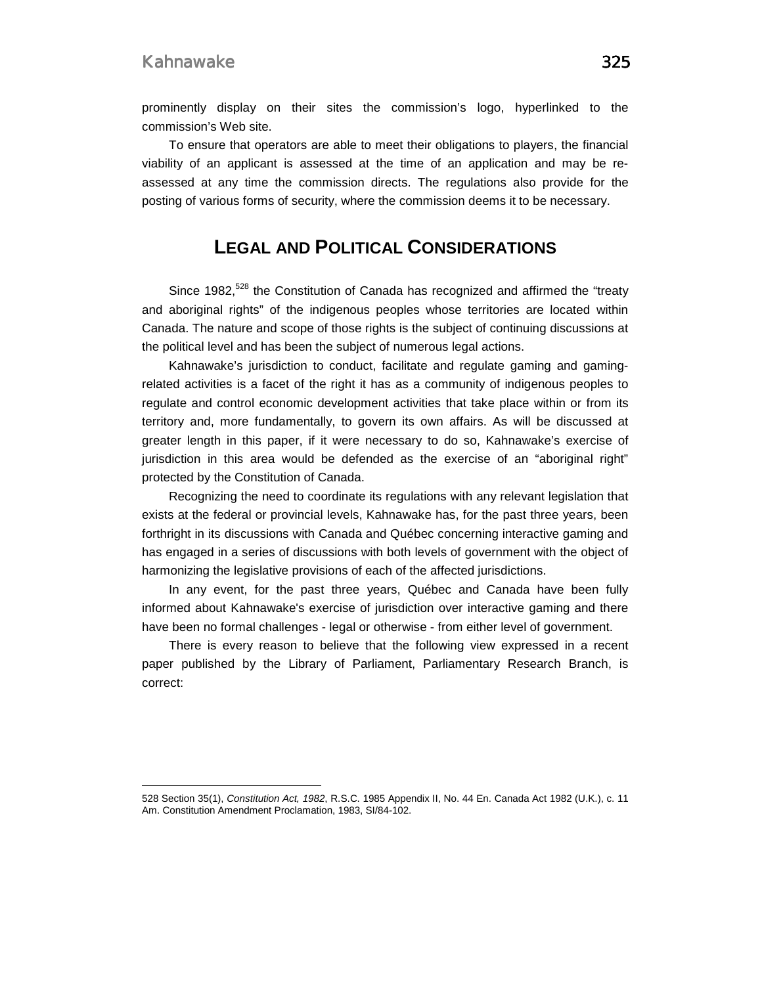$\overline{a}$ 

prominently display on their sites the commission's logo, hyperlinked to the commission's Web site.

To ensure that operators are able to meet their obligations to players, the financial viability of an applicant is assessed at the time of an application and may be reassessed at any time the commission directs. The regulations also provide for the posting of various forms of security, where the commission deems it to be necessary.

# **LEGAL AND POLITICAL CONSIDERATIONS**

Since 1982,<sup>528</sup> the Constitution of Canada has recognized and affirmed the "treaty and aboriginal rights" of the indigenous peoples whose territories are located within Canada. The nature and scope of those rights is the subject of continuing discussions at the political level and has been the subject of numerous legal actions.

Kahnawake's jurisdiction to conduct, facilitate and regulate gaming and gamingrelated activities is a facet of the right it has as a community of indigenous peoples to regulate and control economic development activities that take place within or from its territory and, more fundamentally, to govern its own affairs. As will be discussed at greater length in this paper, if it were necessary to do so, Kahnawake's exercise of jurisdiction in this area would be defended as the exercise of an "aboriginal right" protected by the Constitution of Canada.

Recognizing the need to coordinate its regulations with any relevant legislation that exists at the federal or provincial levels, Kahnawake has, for the past three years, been forthright in its discussions with Canada and Québec concerning interactive gaming and has engaged in a series of discussions with both levels of government with the object of harmonizing the legislative provisions of each of the affected jurisdictions.

In any event, for the past three years, Québec and Canada have been fully informed about Kahnawake's exercise of jurisdiction over interactive gaming and there have been no formal challenges - legal or otherwise - from either level of government.

There is every reason to believe that the following view expressed in a recent paper published by the Library of Parliament, Parliamentary Research Branch, is correct:

<sup>528</sup> Section 35(1), *Constitution Act, 1982*, R.S.C. 1985 Appendix II, No. 44 En. Canada Act 1982 (U.K.), c. 11 Am. Constitution Amendment Proclamation, 1983, SI/84-102.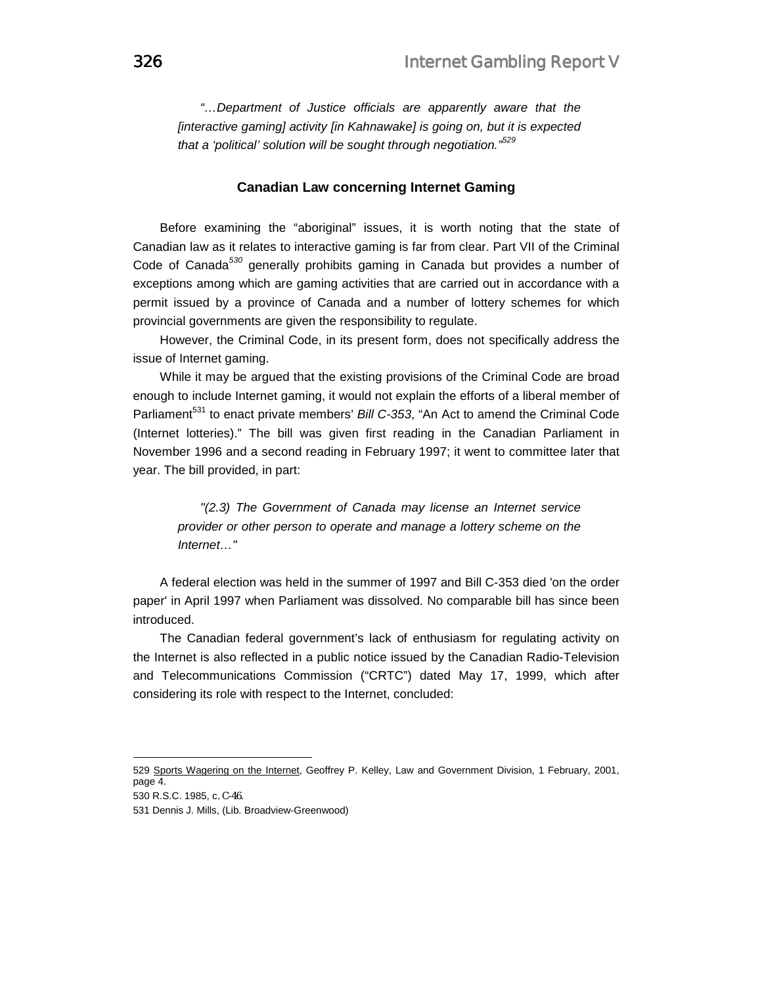*"…Department of Justice officials are apparently aware that the [interactive gaming] activity [in Kahnawake] is going on, but it is expected that a 'political' solution will be sought through negotiation."<sup>529</sup>*

#### **Canadian Law concerning Internet Gaming**

Before examining the "aboriginal" issues, it is worth noting that the state of Canadian law as it relates to interactive gaming is far from clear. Part VII of the Criminal Code of Canada*<sup>530</sup>* generally prohibits gaming in Canada but provides a number of exceptions among which are gaming activities that are carried out in accordance with a permit issued by a province of Canada and a number of lottery schemes for which provincial governments are given the responsibility to regulate.

However, the Criminal Code, in its present form, does not specifically address the issue of Internet gaming.

While it may be argued that the existing provisions of the Criminal Code are broad enough to include Internet gaming, it would not explain the efforts of a liberal member of Parliament<sup>531</sup> to enact private members' *Bill C-353*, "An Act to amend the Criminal Code (Internet lotteries)." The bill was given first reading in the Canadian Parliament in November 1996 and a second reading in February 1997; it went to committee later that year. The bill provided, in part:

*"(2.3) The Government of Canada may license an Internet service provider or other person to operate and manage a lottery scheme on the Internet…"* 

A federal election was held in the summer of 1997 and Bill C-353 died 'on the order paper' in April 1997 when Parliament was dissolved. No comparable bill has since been introduced.

The Canadian federal government's lack of enthusiasm for regulating activity on the Internet is also reflected in a public notice issued by the Canadian Radio-Television and Telecommunications Commission ("CRTC") dated May 17, 1999, which after considering its role with respect to the Internet, concluded:

530 R.S.C. 1985, c. C-46.

<sup>529</sup> Sports Wagering on the Internet, Geoffrey P. Kelley, Law and Government Division, 1 February, 2001, page 4.

<sup>531</sup> Dennis J. Mills, (Lib. Broadview-Greenwood)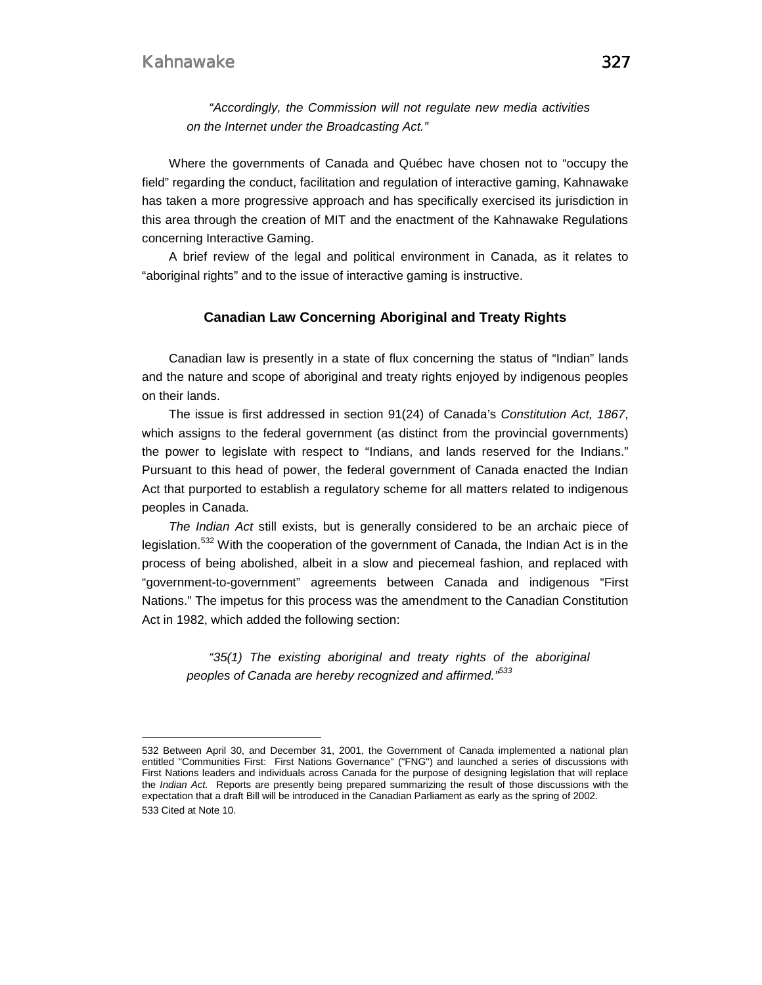$\overline{a}$ 

*"Accordingly, the Commission will not regulate new media activities on the Internet under the Broadcasting Act."* 

Where the governments of Canada and Québec have chosen not to "occupy the field" regarding the conduct, facilitation and regulation of interactive gaming, Kahnawake has taken a more progressive approach and has specifically exercised its jurisdiction in this area through the creation of MIT and the enactment of the Kahnawake Regulations concerning Interactive Gaming.

A brief review of the legal and political environment in Canada, as it relates to "aboriginal rights" and to the issue of interactive gaming is instructive.

### **Canadian Law Concerning Aboriginal and Treaty Rights**

Canadian law is presently in a state of flux concerning the status of "Indian" lands and the nature and scope of aboriginal and treaty rights enjoyed by indigenous peoples on their lands.

The issue is first addressed in section 91(24) of Canada's *Constitution Act, 1867*, which assigns to the federal government (as distinct from the provincial governments) the power to legislate with respect to "Indians, and lands reserved for the Indians." Pursuant to this head of power, the federal government of Canada enacted the Indian Act that purported to establish a regulatory scheme for all matters related to indigenous peoples in Canada.

*The Indian Act* still exists, but is generally considered to be an archaic piece of legislation.<sup>532</sup> With the cooperation of the government of Canada, the Indian Act is in the process of being abolished, albeit in a slow and piecemeal fashion, and replaced with "government-to-government" agreements between Canada and indigenous "First Nations." The impetus for this process was the amendment to the Canadian Constitution Act in 1982, which added the following section:

*"35(1) The existing aboriginal and treaty rights of the aboriginal peoples of Canada are hereby recognized and affirmed."533*

<sup>532</sup> Between April 30, and December 31, 2001, the Government of Canada implemented a national plan entitled "Communities First: First Nations Governance" ("FNG") and launched a series of discussions with First Nations leaders and individuals across Canada for the purpose of designing legislation that will replace the *Indian Act.* Reports are presently being prepared summarizing the result of those discussions with the expectation that a draft Bill will be introduced in the Canadian Parliament as early as the spring of 2002. 533 Cited at Note 10.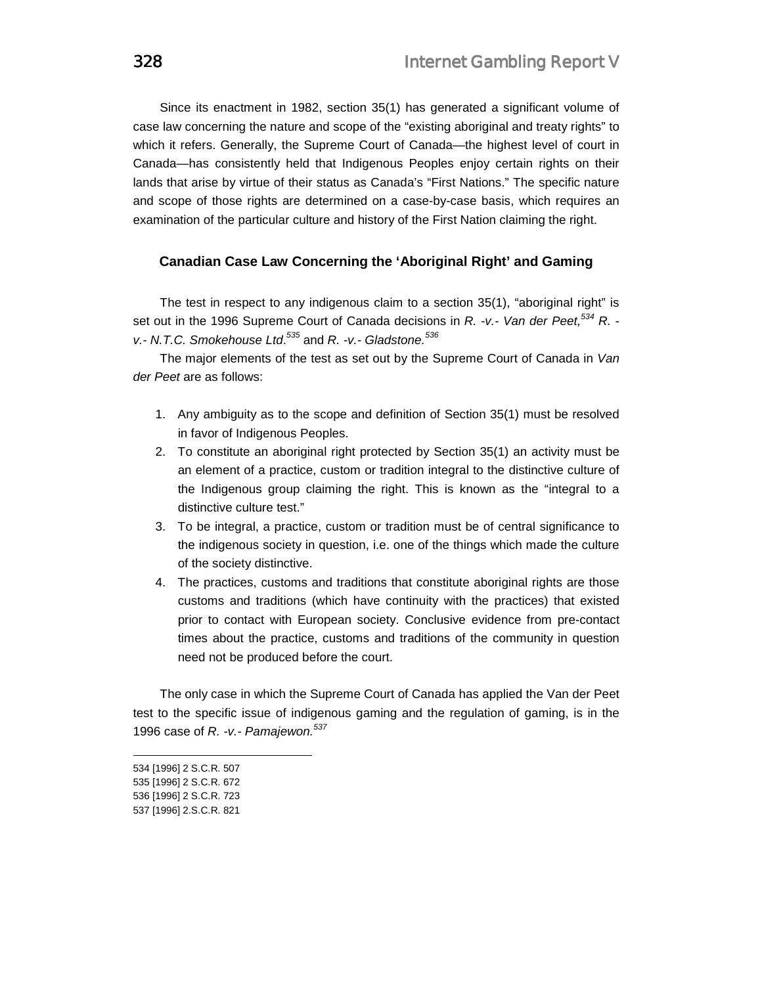Since its enactment in 1982, section 35(1) has generated a significant volume of case law concerning the nature and scope of the "existing aboriginal and treaty rights" to which it refers. Generally, the Supreme Court of Canada—the highest level of court in Canada—has consistently held that Indigenous Peoples enjoy certain rights on their lands that arise by virtue of their status as Canada's "First Nations." The specific nature and scope of those rights are determined on a case-by-case basis, which requires an examination of the particular culture and history of the First Nation claiming the right.

### **Canadian Case Law Concerning the 'Aboriginal Right' and Gaming**

The test in respect to any indigenous claim to a section 35(1), "aboriginal right" is set out in the 1996 Supreme Court of Canada decisions in *R. -v.- Van der Peet,534 R. v.- N.T.C. Smokehouse Ltd*. *<sup>535</sup>* and *R. -v.- Gladstone.<sup>536</sup>*

The major elements of the test as set out by the Supreme Court of Canada in *Van der Peet* are as follows:

- 1. Any ambiguity as to the scope and definition of Section 35(1) must be resolved in favor of Indigenous Peoples.
- 2. To constitute an aboriginal right protected by Section 35(1) an activity must be an element of a practice, custom or tradition integral to the distinctive culture of the Indigenous group claiming the right. This is known as the "integral to a distinctive culture test."
- 3. To be integral, a practice, custom or tradition must be of central significance to the indigenous society in question, i.e. one of the things which made the culture of the society distinctive.
- 4. The practices, customs and traditions that constitute aboriginal rights are those customs and traditions (which have continuity with the practices) that existed prior to contact with European society. Conclusive evidence from pre-contact times about the practice, customs and traditions of the community in question need not be produced before the court.

The only case in which the Supreme Court of Canada has applied the Van der Peet test to the specific issue of indigenous gaming and the regulation of gaming, is in the 1996 case of *R. -v.- Pamajewon.<sup>537</sup>*

<sup>534 [1996] 2</sup> S.C.R. 507

<sup>535 [1996] 2</sup> S.C.R. 672

<sup>536 [1996] 2</sup> S.C.R. 723

<sup>537 [1996] 2.</sup>S.C.R. 821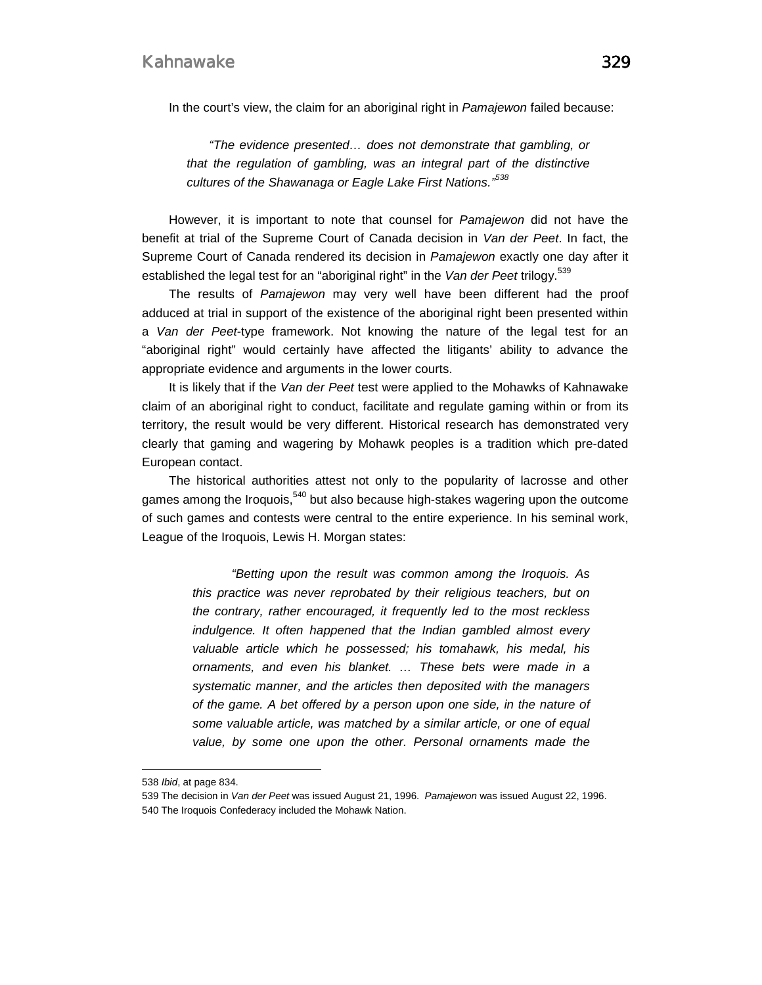In the court's view, the claim for an aboriginal right in *Pamajewon* failed because:

*"The evidence presented… does not demonstrate that gambling, or that the regulation of gambling, was an integral part of the distinctive cultures of the Shawanaga or Eagle Lake First Nations."538*

However, it is important to note that counsel for *Pamajewon* did not have the benefit at trial of the Supreme Court of Canada decision in *Van der Peet*. In fact, the Supreme Court of Canada rendered its decision in *Pamajewon* exactly one day after it established the legal test for an "aboriginal right" in the *Van der Peet* trilogy.<sup>539</sup>

The results of *Pamajewon* may very well have been different had the proof adduced at trial in support of the existence of the aboriginal right been presented within a *Van der Peet-*type framework. Not knowing the nature of the legal test for an "aboriginal right" would certainly have affected the litigants' ability to advance the appropriate evidence and arguments in the lower courts.

It is likely that if the *Van der Peet* test were applied to the Mohawks of Kahnawake claim of an aboriginal right to conduct, facilitate and regulate gaming within or from its territory, the result would be very different. Historical research has demonstrated very clearly that gaming and wagering by Mohawk peoples is a tradition which pre-dated European contact.

The historical authorities attest not only to the popularity of lacrosse and other games among the Iroquois, $540$  but also because high-stakes wagering upon the outcome of such games and contests were central to the entire experience. In his seminal work, League of the Iroquois, Lewis H. Morgan states:

> *"Betting upon the result was common among the Iroquois. As this practice was never reprobated by their religious teachers, but on the contrary, rather encouraged, it frequently led to the most reckless indulgence. It often happened that the Indian gambled almost every valuable article which he possessed; his tomahawk, his medal, his ornaments, and even his blanket. … These bets were made in a systematic manner, and the articles then deposited with the managers of the game. A bet offered by a person upon one side, in the nature of some valuable article, was matched by a similar article, or one of equal value, by some one upon the other. Personal ornaments made the*

<sup>538</sup> *Ibid*, at page 834.

<sup>539</sup> The decision in *Van der Peet* was issued August 21, 1996. *Pamajewon* was issued August 22, 1996. 540 The Iroquois Confederacy included the Mohawk Nation.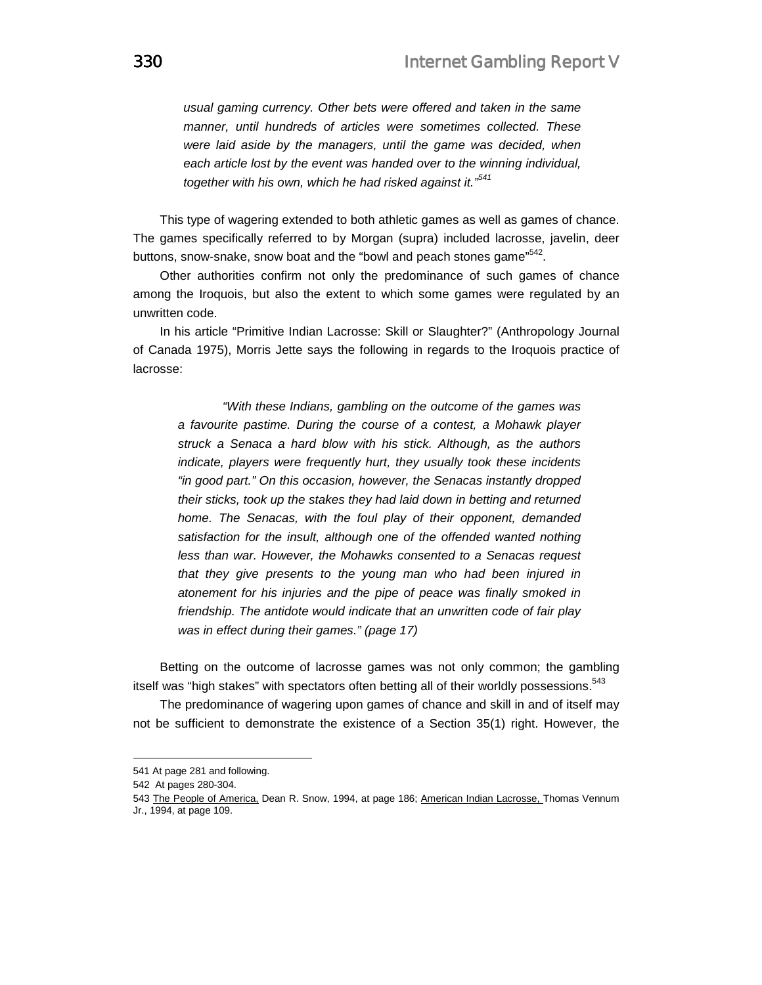*usual gaming currency. Other bets were offered and taken in the same manner, until hundreds of articles were sometimes collected. These were laid aside by the managers, until the game was decided, when each article lost by the event was handed over to the winning individual, together with his own, which he had risked against it."541*

This type of wagering extended to both athletic games as well as games of chance. The games specifically referred to by Morgan (supra) included lacrosse, javelin, deer buttons, snow-snake, snow boat and the "bowl and peach stones game"<sup>542</sup>.

Other authorities confirm not only the predominance of such games of chance among the Iroquois, but also the extent to which some games were regulated by an unwritten code.

In his article "Primitive Indian Lacrosse: Skill or Slaughter?" (Anthropology Journal of Canada 1975), Morris Jette says the following in regards to the Iroquois practice of lacrosse:

 *"With these Indians, gambling on the outcome of the games was a favourite pastime. During the course of a contest, a Mohawk player struck a Senaca a hard blow with his stick. Although, as the authors indicate, players were frequently hurt, they usually took these incidents "in good part." On this occasion, however, the Senacas instantly dropped their sticks, took up the stakes they had laid down in betting and returned home. The Senacas, with the foul play of their opponent, demanded satisfaction for the insult, although one of the offended wanted nothing less than war. However, the Mohawks consented to a Senacas request that they give presents to the young man who had been injured in atonement for his injuries and the pipe of peace was finally smoked in friendship. The antidote would indicate that an unwritten code of fair play was in effect during their games." (page 17)*

Betting on the outcome of lacrosse games was not only common; the gambling itself was "high stakes" with spectators often betting all of their worldly possessions.<sup>543</sup>

The predominance of wagering upon games of chance and skill in and of itself may not be sufficient to demonstrate the existence of a Section 35(1) right. However, the

<sup>541</sup> At page 281 and following.

<sup>542</sup> At pages 280-304.

<sup>543</sup> The People of America, Dean R. Snow, 1994, at page 186; American Indian Lacrosse, Thomas Vennum Jr., 1994, at page 109.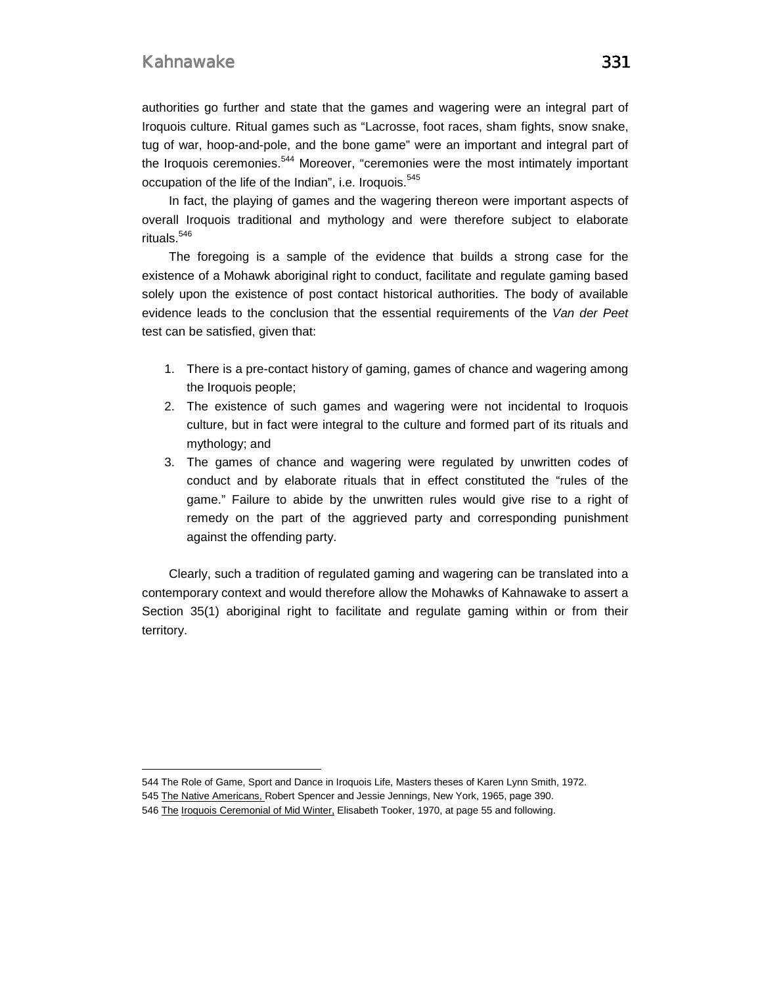$\overline{a}$ 

authorities go further and state that the games and wagering were an integral part of Iroquois culture. Ritual games such as "Lacrosse, foot races, sham fights, snow snake, tug of war, hoop-and-pole, and the bone game" were an important and integral part of the Iroquois ceremonies.<sup>544</sup> Moreover, "ceremonies were the most intimately important occupation of the life of the Indian", i.e. Iroquois.<sup>545</sup>

In fact, the playing of games and the wagering thereon were important aspects of overall Iroquois traditional and mythology and were therefore subject to elaborate rituals.<sup>546</sup>

The foregoing is a sample of the evidence that builds a strong case for the existence of a Mohawk aboriginal right to conduct, facilitate and regulate gaming based solely upon the existence of post contact historical authorities. The body of available evidence leads to the conclusion that the essential requirements of the *Van der Peet* test can be satisfied, given that:

- 1. There is a pre-contact history of gaming, games of chance and wagering among the Iroquois people;
- 2. The existence of such games and wagering were not incidental to Iroquois culture, but in fact were integral to the culture and formed part of its rituals and mythology; and
- 3. The games of chance and wagering were regulated by unwritten codes of conduct and by elaborate rituals that in effect constituted the "rules of the game." Failure to abide by the unwritten rules would give rise to a right of remedy on the part of the aggrieved party and corresponding punishment against the offending party.

Clearly, such a tradition of regulated gaming and wagering can be translated into a contemporary context and would therefore allow the Mohawks of Kahnawake to assert a Section 35(1) aboriginal right to facilitate and regulate gaming within or from their territory.

544 The Role of Game, Sport and Dance in Iroquois Life, Masters theses of Karen Lynn Smith, 1972.

<sup>545</sup> The Native Americans, Robert Spencer and Jessie Jennings, New York, 1965, page 390.

<sup>546</sup> The Iroquois Ceremonial of Mid Winter, Elisabeth Tooker, 1970, at page 55 and following.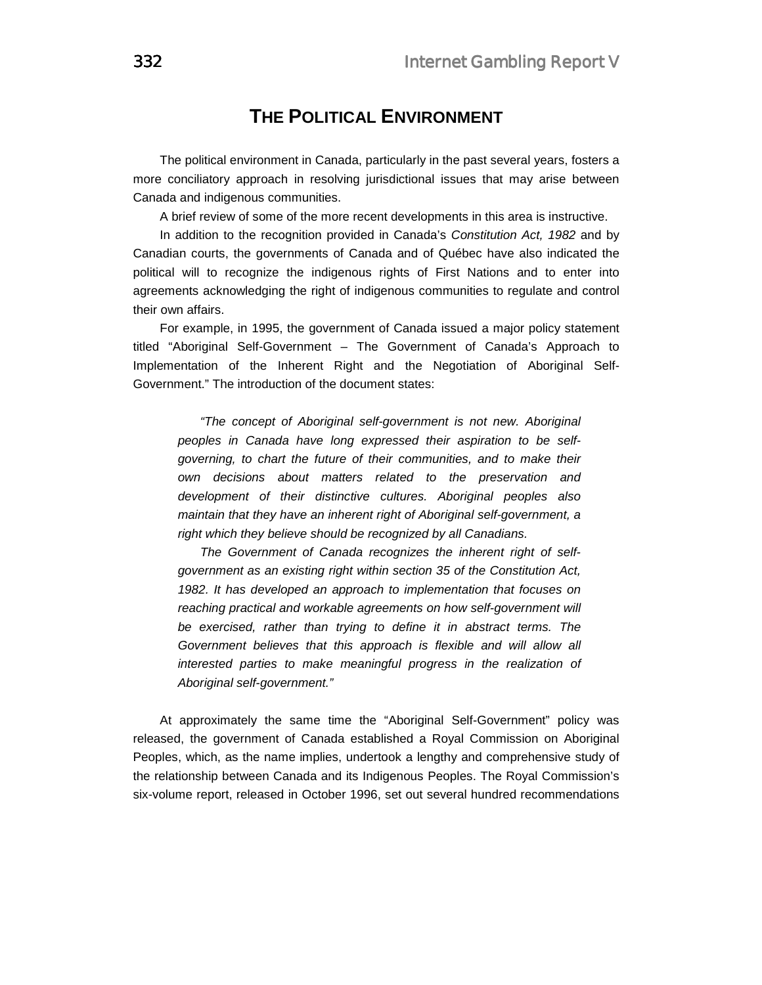## **THE POLITICAL ENVIRONMENT**

The political environment in Canada, particularly in the past several years, fosters a more conciliatory approach in resolving jurisdictional issues that may arise between Canada and indigenous communities.

A brief review of some of the more recent developments in this area is instructive.

In addition to the recognition provided in Canada's *Constitution Act, 1982* and by Canadian courts, the governments of Canada and of Québec have also indicated the political will to recognize the indigenous rights of First Nations and to enter into agreements acknowledging the right of indigenous communities to regulate and control their own affairs.

For example, in 1995, the government of Canada issued a major policy statement titled "Aboriginal Self-Government – The Government of Canada's Approach to Implementation of the Inherent Right and the Negotiation of Aboriginal Self-Government." The introduction of the document states:

*"The concept of Aboriginal self-government is not new. Aboriginal peoples in Canada have long expressed their aspiration to be selfgoverning, to chart the future of their communities, and to make their own decisions about matters related to the preservation and development of their distinctive cultures. Aboriginal peoples also maintain that they have an inherent right of Aboriginal self-government, a right which they believe should be recognized by all Canadians.* 

*The Government of Canada recognizes the inherent right of selfgovernment as an existing right within section 35 of the Constitution Act, 1982. It has developed an approach to implementation that focuses on reaching practical and workable agreements on how self-government will be exercised, rather than trying to define it in abstract terms. The Government believes that this approach is flexible and will allow all interested parties to make meaningful progress in the realization of Aboriginal self-government."*

At approximately the same time the "Aboriginal Self-Government" policy was released, the government of Canada established a Royal Commission on Aboriginal Peoples, which, as the name implies, undertook a lengthy and comprehensive study of the relationship between Canada and its Indigenous Peoples. The Royal Commission's six-volume report, released in October 1996, set out several hundred recommendations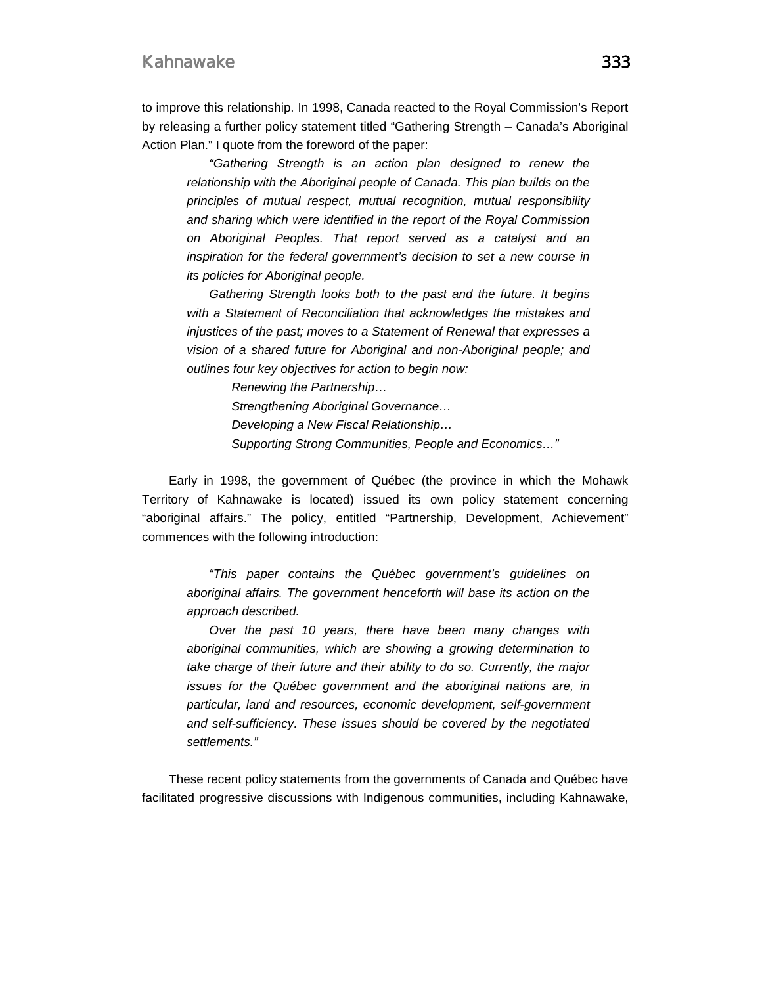to improve this relationship. In 1998, Canada reacted to the Royal Commission's Report by releasing a further policy statement titled "Gathering Strength – Canada's Aboriginal Action Plan." I quote from the foreword of the paper:

*"Gathering Strength is an action plan designed to renew the relationship with the Aboriginal people of Canada. This plan builds on the principles of mutual respect, mutual recognition, mutual responsibility and sharing which were identified in the report of the Royal Commission on Aboriginal Peoples. That report served as a catalyst and an inspiration for the federal government's decision to set a new course in its policies for Aboriginal people.* 

*Gathering Strength looks both to the past and the future. It begins with a Statement of Reconciliation that acknowledges the mistakes and injustices of the past; moves to a Statement of Renewal that expresses a vision of a shared future for Aboriginal and non-Aboriginal people; and outlines four key objectives for action to begin now:* 

> *Renewing the Partnership… Strengthening Aboriginal Governance… Developing a New Fiscal Relationship… Supporting Strong Communities, People and Economics…"*

Early in 1998, the government of Québec (the province in which the Mohawk Territory of Kahnawake is located) issued its own policy statement concerning "aboriginal affairs." The policy, entitled "Partnership, Development, Achievement" commences with the following introduction:

*"This paper contains the Québec government's guidelines on aboriginal affairs. The government henceforth will base its action on the approach described.* 

*Over the past 10 years, there have been many changes with aboriginal communities, which are showing a growing determination to take charge of their future and their ability to do so. Currently, the major issues for the Québec government and the aboriginal nations are, in particular, land and resources, economic development, self-government and self-sufficiency. These issues should be covered by the negotiated settlements."*

These recent policy statements from the governments of Canada and Québec have facilitated progressive discussions with Indigenous communities, including Kahnawake,